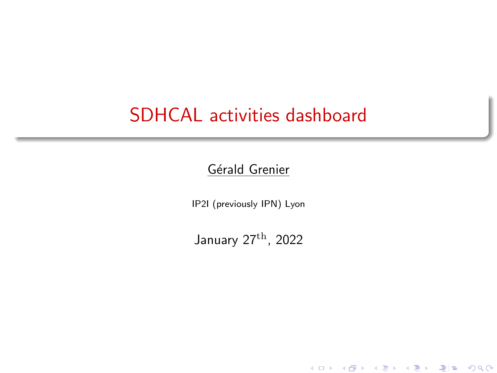### <span id="page-0-0"></span>SDHCAL activities dashboard

#### Gérald Grenier

IP2I (previously IPN) Lyon

January 27th, 2022

K ロ ▶ K @ ▶ K 할 ▶ K 할 ▶ 그럴 ▶ 그럴 할 수 있습니다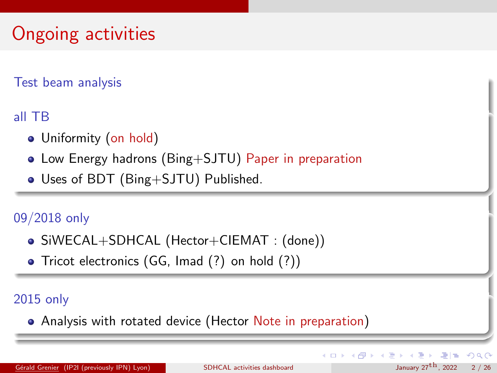# Ongoing activities

#### Test beam analysis

#### all TB

- Uniformity (on hold)
- Low Energy hadrons (Bing+SJTU) Paper in preparation
- Uses of BDT (Bing+SJTU) Published.

#### 09/2018 only

- SiWECAL+SDHCAL (Hector+CIEMAT : (done))
- Tricot electronics (GG, Imad (?) on hold (?))

#### 2015 only

Analysis with rotated device (Hector Note in preparation)

K ロ ▶ K 個 ▶ K ヨ ▶ K ヨ ▶ (ヨ)도 19 Q @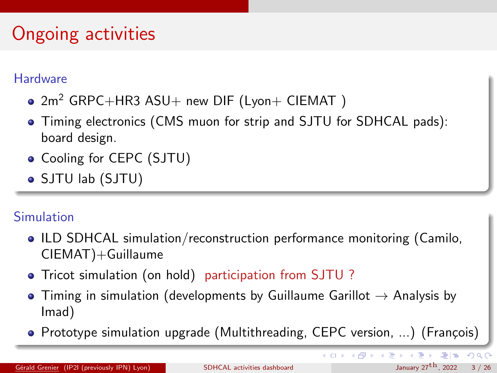# Ongoing activities

#### **Hardware**

- $2m^2$  GRPC+HR3 ASU+ new DIF (Lyon+ CIEMAT)
- Timing electronics (CMS muon for strip and SJTU for SDHCAL pads): board design.
- Cooling for CEPC (SJTU)
- SJTU lab (SJTU)

#### Simulation

- ILD SDHCAL simulation/reconstruction performance monitoring (Camilo, CIEMAT)+Guillaume
- Tricot simulation (on hold) participation from SJTU ?
- $\bullet$  Timing in simulation (developments by Guillaume Garillot  $\rightarrow$  Analysis by Imad)
- Prototype simulation upgrade (Multithreading, CEPC version, ...) (François)

K ロ ▶ K 個 ▶ K ヨ ▶ K ヨ ▶ (ヨ)도 Ю Q @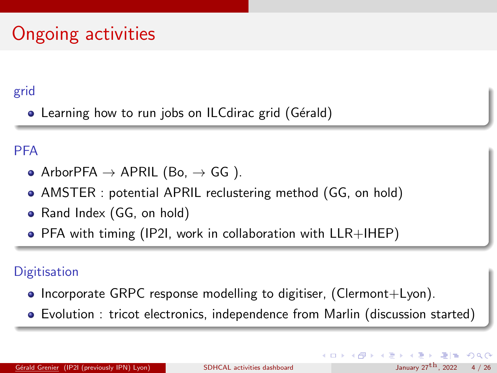# Ongoing activities

#### grid

• Learning how to run jobs on ILCdirac grid (Gérald)

#### **PFA**

- ArborPFA  $\rightarrow$  APRIL (Bo,  $\rightarrow$  GG).
- AMSTER : potential APRIL reclustering method (GG, on hold)
- Rand Index (GG, on hold)
- PFA with timing (IP2I, work in collaboration with LLR+IHEP)

#### **Digitisation**

- Incorporate GRPC response modelling to digitiser, (Clermont+Lyon).
- Evolution : tricot electronics, independence from Marlin (discussion started)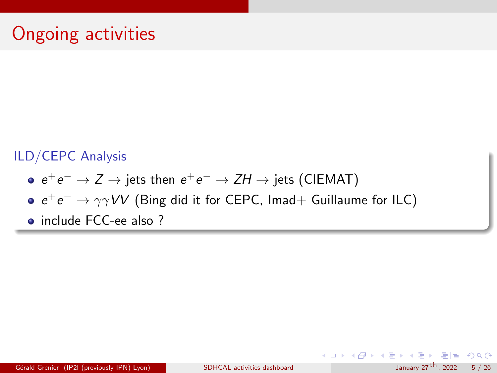#### ILD/CEPC Analysis

- $e^+e^- \to Z \to \text{jets}$  then  $e^+e^- \to ZH \to \text{jets}$  (CIEMAT)
- $e^+e^- \rightarrow \gamma \gamma VV$  (Bing did it for CEPC, Imad+ Guillaume for ILC)
- include FCC-ee also ?

K ロ ▶ K 個 ▶ K ヨ ▶ K ヨ ▶ (ヨ) = 19 Q Q Q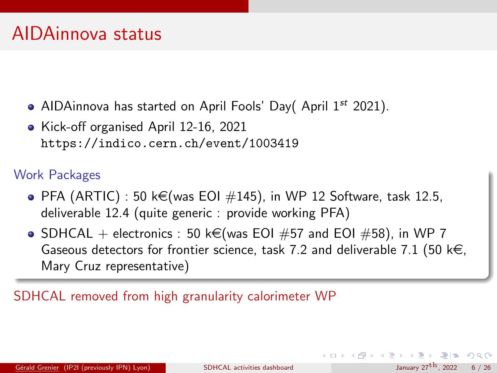- AIDAinnova has started on April Fools' Day( April  $1^{st}$  2021).
- Kick-off organised April 12-16, 2021 <https://indico.cern.ch/event/1003419>

#### Work Packages

- $\bullet$  PFA (ARTIC) : 50 k $\in$ (was EOI  $\#145$ ), in WP 12 Software, task 12.5, deliverable 12.4 (quite generic : provide working PFA)
- SDHCAL + electronics : 50 k€(was EOI #57 and EOI #58), in WP 7 Gaseous detectors for frontier science, task 7.2 and deliverable 7.1 (50 k $\in$ , Mary Cruz representative)

SDHCAL removed from high granularity calorimeter WP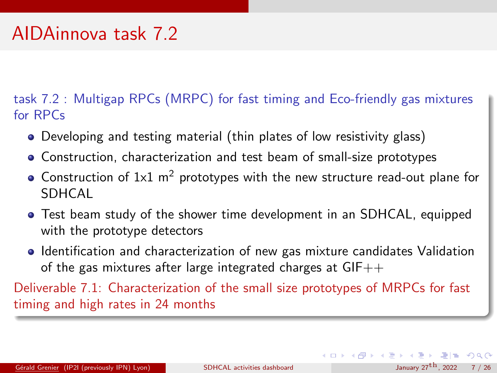### AIDAinnova task 7.2

task 7.2 : Multigap RPCs (MRPC) for fast timing and Eco-friendly gas mixtures for RPCs

- Developing and testing material (thin plates of low resistivity glass)
- Construction, characterization and test beam of small-size prototypes
- Construction of  $1x1$  m<sup>2</sup> prototypes with the new structure read-out plane for SDHCAL
- Test beam study of the shower time development in an SDHCAL, equipped with the prototype detectors
- **I** Identification and characterization of new gas mixture candidates Validation of the gas mixtures after large integrated charges at  $GIF++$

Deliverable 7.1: Characterization of the small size prototypes of MRPCs for fast timing and high rates in 24 months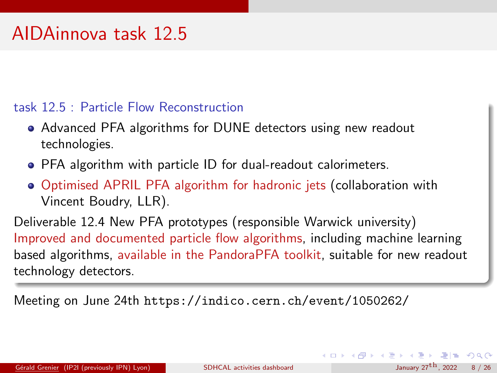### AIDAinnova task 12.5

#### task 12.5 : Particle Flow Reconstruction

- Advanced PFA algorithms for DUNE detectors using new readout technologies.
- PFA algorithm with particle ID for dual-readout calorimeters.
- Optimised APRIL PFA algorithm for hadronic jets (collaboration with Vincent Boudry, LLR).

Deliverable 12.4 New PFA prototypes (responsible Warwick university) Improved and documented particle flow algorithms, including machine learning based algorithms, available in the PandoraPFA toolkit, suitable for new readout technology detectors.

Meeting on June 24th <https://indico.cern.ch/event/1050262/>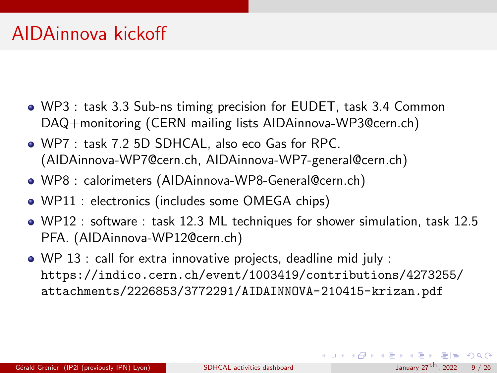### AIDAinnova kickoff

- WP3 : task 3.3 Sub-ns timing precision for EUDET, task 3.4 Common DAQ+monitoring (CERN mailing lists AIDAinnova-WP3@cern.ch)
- WP7 : task 7.2 5D SDHCAL, also eco Gas for RPC. (AIDAinnova-WP7@cern.ch, AIDAinnova-WP7-general@cern.ch)
- WP8 : calorimeters (AIDAinnova-WP8-General@cern.ch)
- WP11 : electronics (includes some OMEGA chips)
- WP12 : software : task 12.3 ML techniques for shower simulation, task 12.5 PFA. (AIDAinnova-WP12@cern.ch)
- WP 13 : call for extra innovative projects, deadline mid july : [https://indico.cern.ch/event/1003419/contributions/4273255/](https://indico.cern.ch/event/1003419/contributions/4273255/attachments/2226853/3772291/AIDAINNOVA-210415-krizan.pdf) [attachments/2226853/3772291/AIDAINNOVA-210415-krizan.pdf](https://indico.cern.ch/event/1003419/contributions/4273255/attachments/2226853/3772291/AIDAINNOVA-210415-krizan.pdf)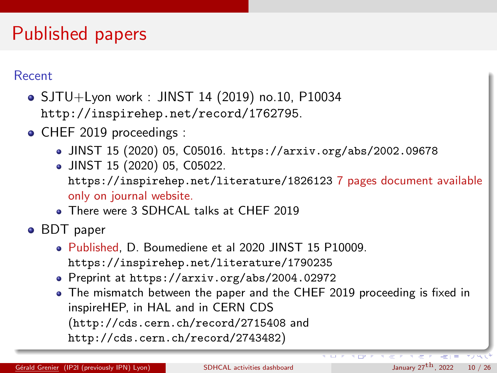### Published papers

#### Recent

SJTU+Lyon work : JINST 14 (2019) no.10, P10034 <http://inspirehep.net/record/1762795>.

- CHEF 2019 proceedings :
	- JINST 15 (2020) 05, C05016. <https://arxiv.org/abs/2002.09678>
	- JINST 15 (2020) 05, C05022.

<https://inspirehep.net/literature/1826123> 7 pages document available only on journal website.

There were 3 SDHCAL talks at CHEF 2019

BDT paper

- Published, D. Boumediene et al 2020 JINST 15 P10009. <https://inspirehep.net/literature/1790235>
- Preprint at <https://arxiv.org/abs/2004.02972>
- The mismatch between the paper and the CHEF 2019 proceeding is fixed in inspireHEP, in HAL and in CERN CDS (<http://cds.cern.ch/record/2715408> and <http://cds.cern.ch/record/2743482>)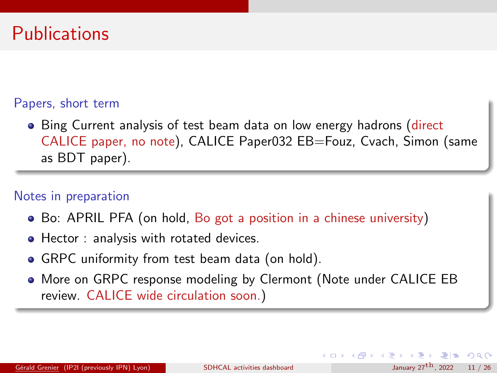### **Publications**

#### Papers, short term

• Bing Current analysis of test beam data on low energy hadrons (direct CALICE paper, no note), CALICE Paper032 EB=Fouz, Cvach, Simon (same as BDT paper).

#### Notes in preparation

- Bo: APRIL PFA (on hold, Bo got a position in a chinese university)
- Hector : analysis with rotated devices.
- GRPC uniformity from test beam data (on hold).
- More on GRPC response modeling by Clermont (Note under CALICE EB review. CALICE wide circulation soon.)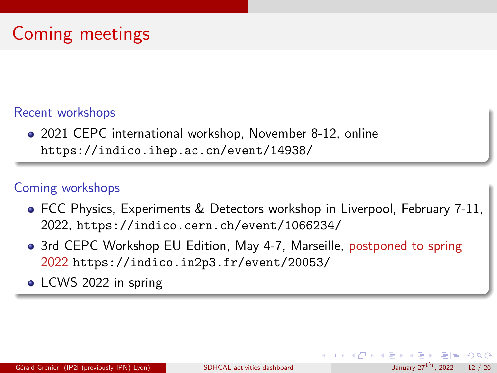#### Recent workshops

2021 CEPC international workshop, November 8-12, online <https://indico.ihep.ac.cn/event/14938/>

#### Coming workshops

- FCC Physics, Experiments & Detectors workshop in Liverpool, February 7-11, 2022, <https://indico.cern.ch/event/1066234/>
- 3rd CEPC Workshop EU Edition, May 4-7, Marseille, postponed to spring 2022 <https://indico.in2p3.fr/event/20053/>
- LCWS 2022 in spring

イロト イ押 トイヨ トイヨト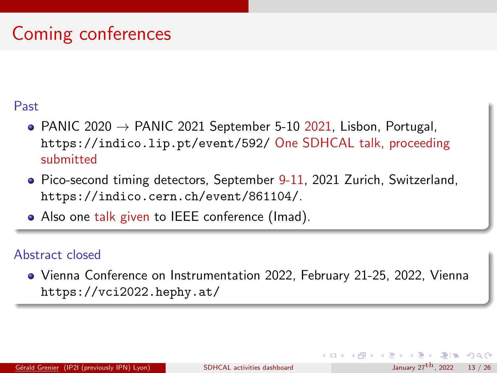# Coming conferences

#### Past

- PANIC 2020  $\rightarrow$  PANIC 2021 September 5-10 2021, Lisbon, Portugal, <https://indico.lip.pt/event/592/> One SDHCAL talk, proceeding submitted
- Pico-second timing detectors, September 9-11, 2021 Zurich, Switzerland. <https://indico.cern.ch/event/861104/>.
- Also one talk given to IEEE conference (Imad).

#### Abstract closed

Vienna Conference on Instrumentation 2022, February 21-25, 2022, Vienna <https://vci2022.hephy.at/>

 $4$  ロ )  $4$   $\overline{m}$  )  $4$   $\overline{m}$  )  $4$   $\overline{m}$  )  $4$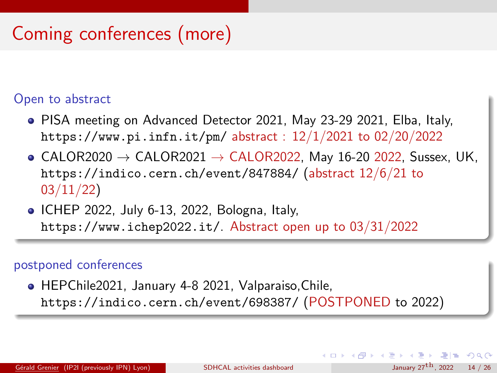# Coming conferences (more)

#### Open to abstract

- PISA meeting on Advanced Detector 2021, May 23-29 2021, Elba, Italy, <https://www.pi.infn.it/pm/> abstract : 12/1/2021 to 02/20/2022
- $\bullet$  CALOR2020  $\rightarrow$  CALOR2021  $\rightarrow$  CALOR2022, May 16-20 2022, Sussex, UK, <https://indico.cern.ch/event/847884/> (abstract 12/6/21 to 03/11/22)
- ICHEP 2022, July 6-13, 2022, Bologna, Italy, <https://www.ichep2022.it/>. Abstract open up to 03/31/2022

#### postponed conferences

HEPChile2021, January 4-8 2021, Valparaiso,Chile, <https://indico.cern.ch/event/698387/> (POSTPONED to 2022)

K ロ ▶ K 個 ▶ K ヨ ▶ K ヨ ▶ (ヨ)도 19 Q @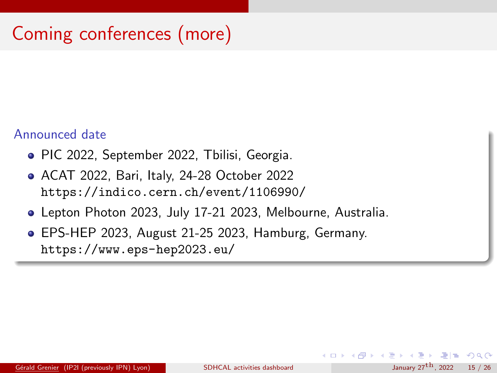# Coming conferences (more)

#### Announced date

- PIC 2022, September 2022, Tbilisi, Georgia.
- ACAT 2022, Bari, Italy, 24-28 October 2022 <https://indico.cern.ch/event/1106990/>
- Lepton Photon 2023, July 17-21 2023, Melbourne, Australia.
- EPS-HEP 2023, August 21-25 2023, Hamburg, Germany. <https://www.eps-hep2023.eu/>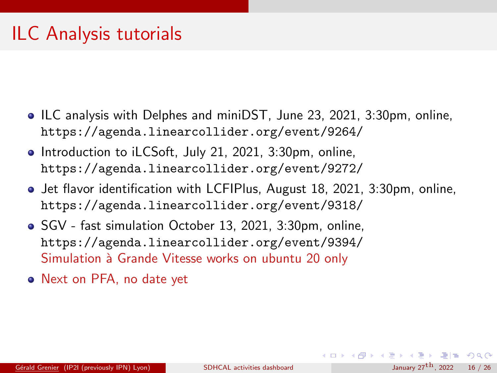### ILC Analysis tutorials

- ILC analysis with Delphes and miniDST, June 23, 2021, 3:30pm, online, <https://agenda.linearcollider.org/event/9264/>
- Introduction to iLCSoft, July 21, 2021, 3:30pm, online, <https://agenda.linearcollider.org/event/9272/>
- **Jet flavor identification with LCFIPlus, August 18, 2021, 3:30pm, online,** <https://agenda.linearcollider.org/event/9318/>
- SGV fast simulation October 13, 2021, 3:30pm, online, <https://agenda.linearcollider.org/event/9394/> Simulation à Grande Vitesse works on ubuntu 20 only
- Next on PFA, no date yet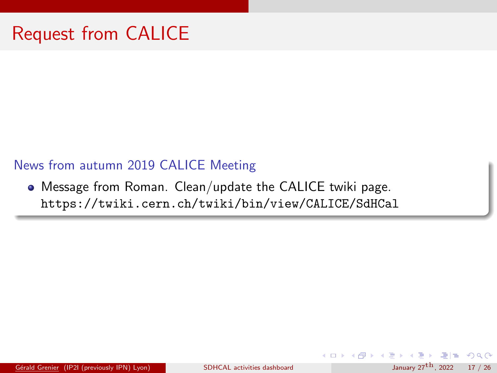#### <span id="page-16-0"></span>News from autumn 2019 CALICE Meeting

Message from Roman. Clean/update the CALICE twiki page. <https://twiki.cern.ch/twiki/bin/view/CALICE/SdHCal>

Gérald Grenier (IP2I (previously IPN) Lyon) [SDHCAL activities dashboard](#page-0-0) January  $27^{\text{th}}$  $27^{\text{th}}$  $27^{\text{th}}$  $27^{\text{th}}$  $27^{\text{th}}$ , 2022 17 / 26

 $E|E$   $\Omega$ 

 $4$  ロ )  $4$   $\overline{m}$  )  $4$   $\overline{m}$  )  $4$   $\overline{m}$  )  $4$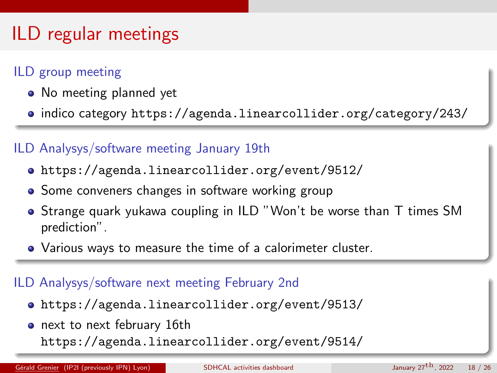# <span id="page-17-0"></span>ILD regular meetings

#### ILD group meeting

- No meeting planned yet
- indico category <https://agenda.linearcollider.org/category/243/>

#### ILD Analysys/software meeting January 19th

- <https://agenda.linearcollider.org/event/9512/>
- Some conveners changes in software working group
- **•** Strange quark yukawa coupling in ILD "Won't be worse than T times SM prediction".
- Various ways to measure the time of a calorimeter cluster.

#### ILD Analysys/software next meeting February 2nd

- <https://agenda.linearcollider.org/event/9513/>
- next to next february 16th <https://agenda.linearcollider.org/event/9514/>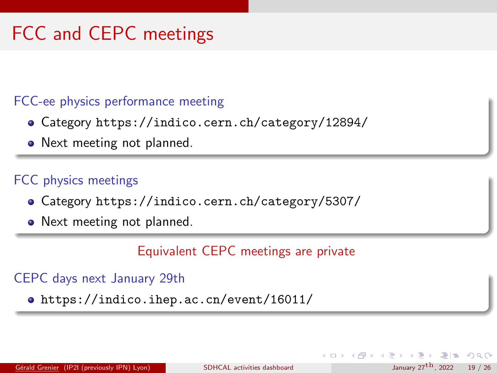# <span id="page-18-0"></span>FCC and CEPC meetings

#### FCC-ee physics performance meeting

- Category <https://indico.cern.ch/category/12894/>
- Next meeting not planned.

#### FCC physics meetings

- Category <https://indico.cern.ch/category/5307/>
- Next meeting not planned.

Equivalent CEPC meetings are private

#### CEPC days next January 29th

<https://indico.ihep.ac.cn/event/16011/>

 $4$  ロ )  $4$   $\overline{m}$  )  $4$   $\overline{m}$  )  $4$   $\overline{m}$  )  $4$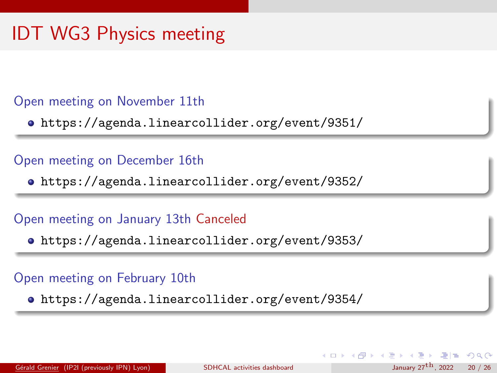# IDT WG3 Physics meeting

#### Open meeting on November 11th

<https://agenda.linearcollider.org/event/9351/>

#### Open meeting on December 16th

<https://agenda.linearcollider.org/event/9352/>

#### Open meeting on January 13th Canceled

<https://agenda.linearcollider.org/event/9353/>

#### Open meeting on February 10th

<https://agenda.linearcollider.org/event/9354/>

K □ ▶ K 何 ▶ K 글 ▶ K 글 ▶ \_글[날, K) Q (^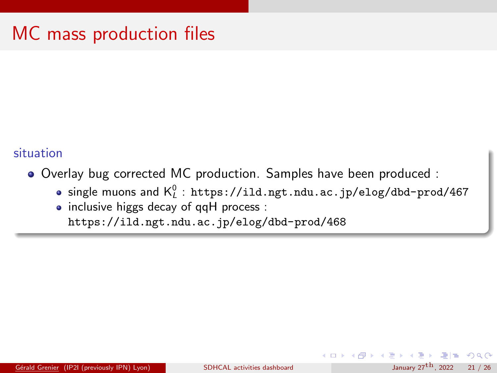### MC mass production files

#### situation

- Overlay bug corrected MC production. Samples have been produced :
	- single muons and  $\mathsf{K}_{\mathsf{L}}^0$  :  $\mathtt{https://ild.ngt.ndu.ac.jp/elog/dbd-prod/467}$  $\mathtt{https://ild.ngt.ndu.ac.jp/elog/dbd-prod/467}$  $\mathtt{https://ild.ngt.ndu.ac.jp/elog/dbd-prod/467}$
	- inclusive higgs decay of qqH process : <https://ild.ngt.ndu.ac.jp/elog/dbd-prod/468>

 $4$  ロ )  $4$   $\overline{m}$  )  $4$   $\overline{m}$  )  $4$   $\overline{m}$  )  $4$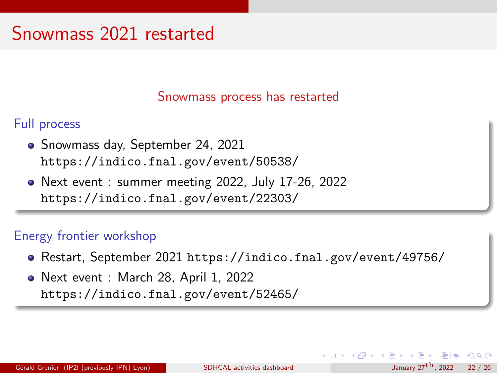### Snowmass 2021 restarted

Snowmass process has restarted

Full process

- Snowmass day, September 24, 2021 <https://indico.fnal.gov/event/50538/>
- Next event : summer meeting 2022, July 17-26, 2022 <https://indico.fnal.gov/event/22303/>

#### Energy frontier workshop

- Restart, September 2021 <https://indico.fnal.gov/event/49756/>
- Next event : March 28, April 1, 2022 <https://indico.fnal.gov/event/52465/>

K □ ▶ K 何 ▶ K 글 ▶ K 글 ▶ \_글[날, K) Q (^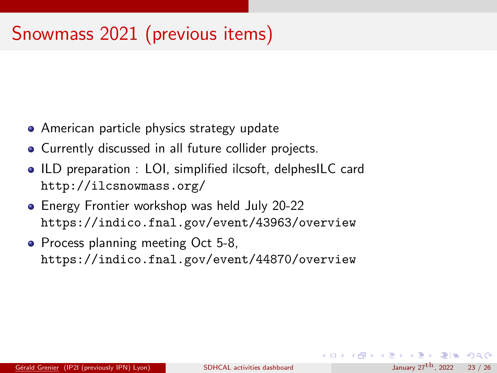# Snowmass 2021 (previous items)

- American particle physics strategy update
- Currently discussed in all future collider projects.
- ILD preparation : LOI, simplified ilcsoft, delphesILC card <http://ilcsnowmass.org/>
- Energy Frontier workshop was held July 20-22 <https://indico.fnal.gov/event/43963/overview>
- Process planning meeting Oct 5-8, <https://indico.fnal.gov/event/44870/overview>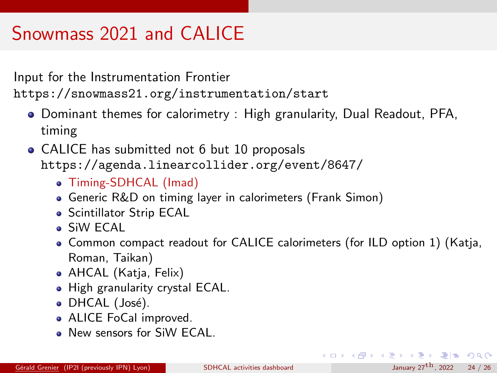# Snowmass 2021 and CALICE

Input for the Instrumentation Frontier <https://snowmass21.org/instrumentation/start>

- Dominant themes for calorimetry : High granularity, Dual Readout, PFA, timing
- CALICE has submitted not 6 but 10 proposals <https://agenda.linearcollider.org/event/8647/>
	- Timing-SDHCAL (Imad)
	- Generic R&D on timing layer in calorimeters (Frank Simon)
	- **Scintillator Strip ECAL**
	- SiW ECAL
	- Common compact readout for CALICE calorimeters (for ILD option 1) (Katja, Roman, Taikan)
	- AHCAL (Katja, Felix)
	- High granularity crystal ECAL.
	- DHCAL (José).
	- ALICE FoCal improved.
	- New sensors for SiW ECAL.

K ロ ▶ K 個 ▶ K ヨ ▶ K ヨ ▶ (ヨ) = 19 Q Q Q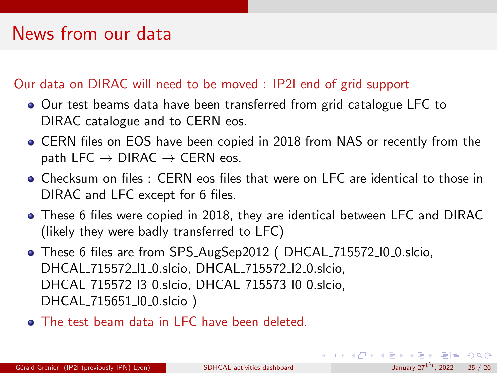### News from our data

#### Our data on DIRAC will need to be moved : IP2I end of grid support

- Our test beams data have been transferred from grid catalogue LFC to DIRAC catalogue and to CERN eos.
- CERN files on EOS have been copied in 2018 from NAS or recently from the path LFC  $\rightarrow$  DIRAC  $\rightarrow$  CERN eos.
- Checksum on files : CERN eos files that were on LFC are identical to those in DIRAC and LFC except for 6 files.
- These 6 files were copied in 2018, they are identical between LFC and DIRAC (likely they were badly transferred to LFC)
- These 6 files are from SPS AugSep2012 ( DHCAL 715572 I0 0.slcio, DHCAL 715572 I1 0.slcio, DHCAL 715572 I2 0.slcio, DHCAL 715572 I3 0.slcio, DHCAL 715573 I0 0.slcio, DHCAL\_715651\_I0\_0.slcio)
- **a** The test beam data in LFC have been deleted.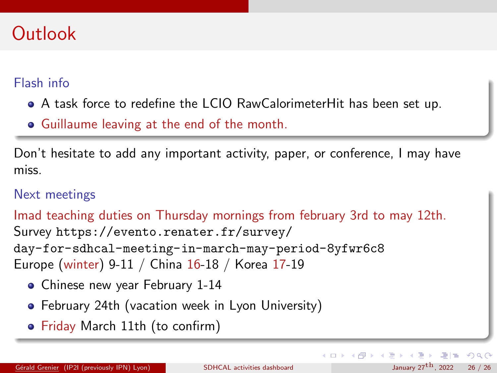### <span id="page-25-0"></span>**Outlook**

#### Flash info

- A task force to redefine the LCIO RawCalorimeterHit has been set up.
- Guillaume leaving at the end of the month.

Don't hesitate to add any important activity, paper, or conference, I may have miss.

#### Next meetings

Imad teaching duties on Thursday mornings from february 3rd to may 12th. Survey [https://evento.renater.fr/survey/](https://evento.renater.fr/survey/day-for-sdhcal-meeting-in-march-may-period-8yfwr6c8) [day-for-sdhcal-meeting-in-march-may-period-8yfwr6c8](https://evento.renater.fr/survey/day-for-sdhcal-meeting-in-march-may-period-8yfwr6c8) Europe (winter) 9-11 / China 16-18 / Korea 17-19

- Chinese new year February 1-14
- **•** February 24th (vacation week in Lyon University)
- Friday March 11th (to confirm)

 $E|E \cap Q$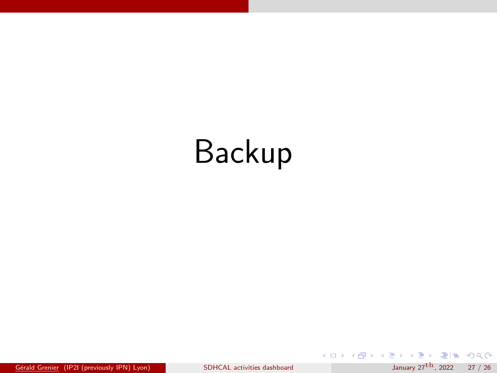# <span id="page-26-0"></span>Backup

 $G$ <sup>e</sup>rald Grenier (IP2I (previously IPN) Lyon) [SDHCAL activities dashboard](#page-0-0) January 27<sup>[th](#page-31-0)</sup>, 2022 27 / 26

K ロ ▶ K 個 ▶ K ミ ▶ K ミ ▶ [로]로 19 Q @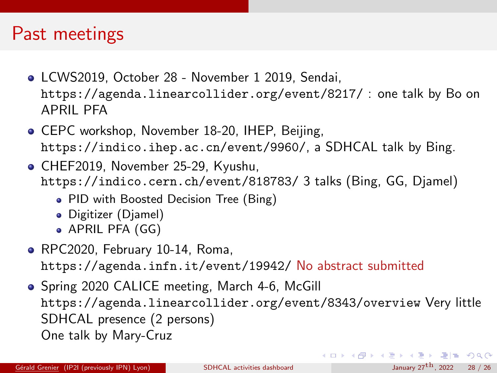### Past meetings

- LCWS2019, October 28 November 1 2019, Sendai, <https://agenda.linearcollider.org/event/8217/> : one talk by Bo on APRIL PFA
- **CEPC workshop, November 18-20, IHEP, Beijing,** <https://indico.ihep.ac.cn/event/9960/>, a SDHCAL talk by Bing.
- CHEF2019, November 25-29, Kyushu, [https://indico.cern.ch/event/818783/]( https://indico.cern.ch/event/818783/) 3 talks (Bing, GG, Djamel)
	- PID with Boosted Decision Tree (Bing)
	- Digitizer (Djamel)
	- APRIL PFA (GG)
- RPC2020, February 10-14, Roma, <https://agenda.infn.it/event/19942/> No abstract submitted
- Spring 2020 CALICE meeting, March 4-6, McGill <https://agenda.linearcollider.org/event/8343/overview> Very little SDHCAL presence (2 persons) One talk by Mary-Cruz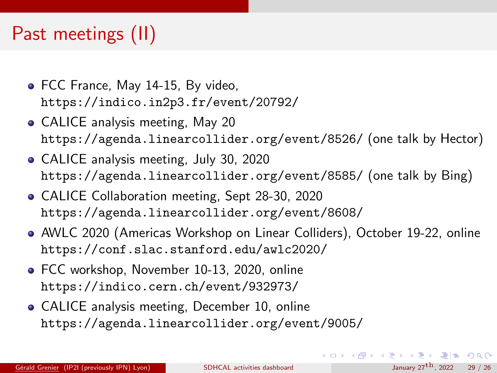### <span id="page-28-0"></span>Past meetings (II)

- FCC France, May 14-15, By video, <https://indico.in2p3.fr/event/20792/>
- CALICE analysis meeting, May 20 <https://agenda.linearcollider.org/event/8526/> (one talk by Hector)
- CALICE analysis meeting, July 30, 2020 <https://agenda.linearcollider.org/event/8585/> (one talk by Bing)
- CALICE Collaboration meeting, Sept 28-30, 2020 <https://agenda.linearcollider.org/event/8608/>
- AWLC 2020 (Americas Workshop on Linear Colliders), October 19-22, online <https://conf.slac.stanford.edu/awlc2020/>
- FCC workshop, November 10-13, 2020, online <https://indico.cern.ch/event/932973/>
- CALICE analysis meeting, December 10, online <https://agenda.linearcollider.org/event/9005/>

K ロ ▶ K 個 ▶ K ヨ ▶ K ヨ ▶ (ヨ)도 19 Q @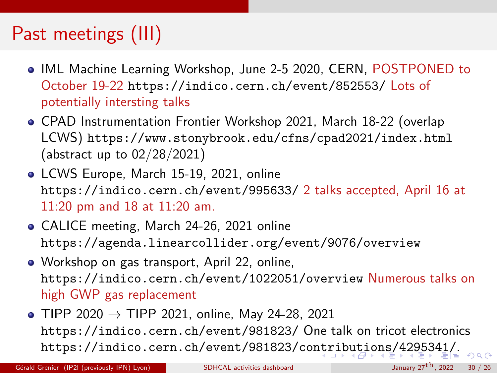# <span id="page-29-0"></span>Past meetings (III)

- IML Machine Learning Workshop, June 2-5 2020, CERN, POSTPONED to October 19-22 <https://indico.cern.ch/event/852553/> Lots of potentially intersting talks
- CPAD Instrumentation Frontier Workshop 2021, March 18-22 (overlap LCWS) <https://www.stonybrook.edu/cfns/cpad2021/index.html> (abstract up to 02/28/2021)
- LCWS Europe, March 15-19, 2021, online <https://indico.cern.ch/event/995633/> 2 talks accepted, April 16 at 11:20 pm and 18 at 11:20 am.
- CALICE meeting, March 24-26, 2021 online <https://agenda.linearcollider.org/event/9076/overview>
- Workshop on gas transport, April 22, online, <https://indico.cern.ch/event/1022051/overview> Numerous talks on high GWP gas replacement
- TIPP 2020  $\rightarrow$  TIPP 2021, online, May 24-28, 2021 <https://indico.cern.ch/event/981823/> One talk on tricot electronics <https://indico.cern.ch/event/981823/contributions/4295341/>[.](#page-31-0)

Gérald Grenier (IP2I (previously IPN) Lyon) [SDHCAL activities dashboard](#page-0-0) January  $27^{th}$ , 2022 30 / 26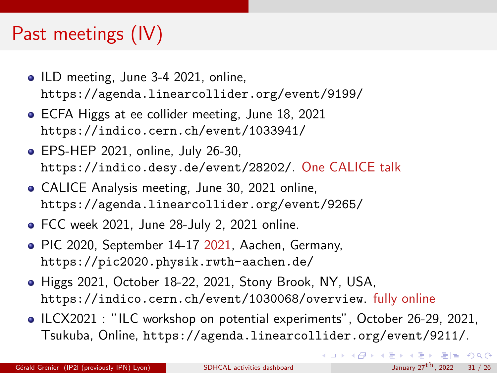# <span id="page-30-0"></span>Past meetings (IV)

- ILD meeting, June 3-4 2021, online, <https://agenda.linearcollider.org/event/9199/>
- **ECFA Higgs at ee collider meeting, June 18, 2021** <https://indico.cern.ch/event/1033941/>
- EPS-HEP 2021, online, July 26-30, <https://indico.desy.de/event/28202/>. One CALICE talk
- CALICE Analysis meeting, June 30, 2021 online, <https://agenda.linearcollider.org/event/9265/>
- FCC week 2021, June 28-July 2, 2021 online.
- PIC 2020, September 14-17 2021, Aachen, Germany, <https://pic2020.physik.rwth-aachen.de/>
- Higgs 2021, October 18-22, 2021, Stony Brook, NY, USA, <https://indico.cern.ch/event/1030068/overview>. fully online
- ILCX2021 : "ILC workshop on potential experiments", October 26-29, 2021, Tsukuba, Online, <https://agenda.linearcollider.org/event/9211/>.

K ロ ▶ K 個 ▶ K ヨ ▶ K ヨ ▶ (ヨ) = 19 Q Q Q